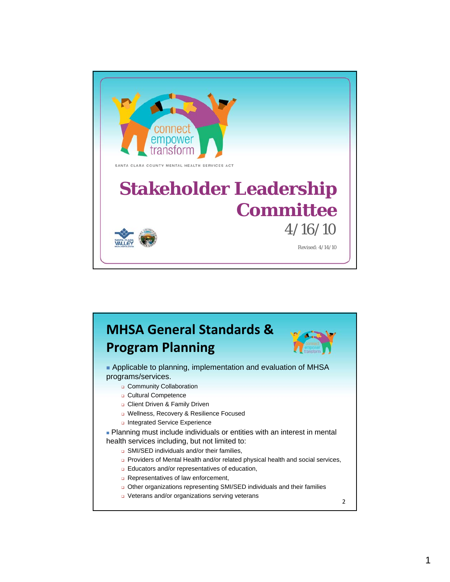

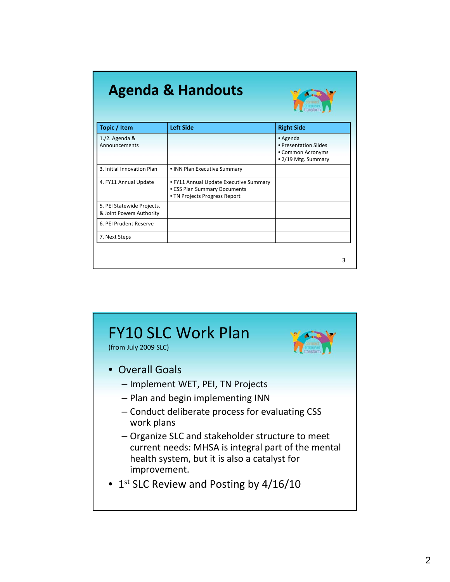### **Agenda & Handouts**



| Topic / Item                                           | <b>Left Side</b>                                                                                        | <b>Right Side</b>                                                             |
|--------------------------------------------------------|---------------------------------------------------------------------------------------------------------|-------------------------------------------------------------------------------|
| $1./2.$ Agenda &<br>Announcements                      |                                                                                                         | • Agenda<br>• Presentation Slides<br>• Common Acronyms<br>• 2/19 Mtg. Summary |
| 3. Initial Innovation Plan                             | • INN Plan Executive Summary                                                                            |                                                                               |
| 4. FY11 Annual Update                                  | • FY11 Annual Update Executive Summary<br>• CSS Plan Summary Documents<br>• TN Projects Progress Report |                                                                               |
| 5. PEI Statewide Projects,<br>& Joint Powers Authority |                                                                                                         |                                                                               |
| 6. PEI Prudent Reserve                                 |                                                                                                         |                                                                               |
| 7. Next Steps                                          |                                                                                                         |                                                                               |

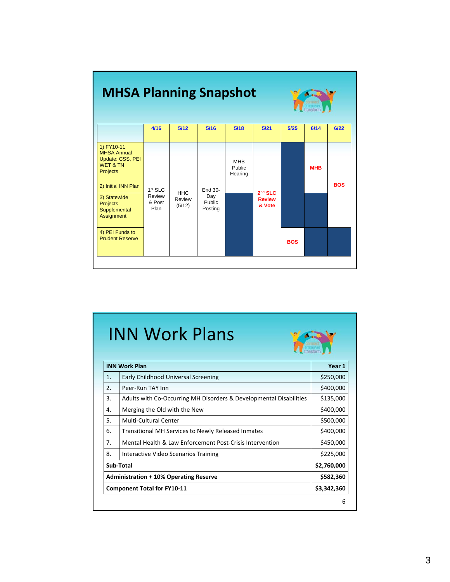| <b>MHSA Planning Snapshot</b>                                                                                                                                                   |                                                 |                                |                                     |                                        |                                      | transform  |            |            |
|---------------------------------------------------------------------------------------------------------------------------------------------------------------------------------|-------------------------------------------------|--------------------------------|-------------------------------------|----------------------------------------|--------------------------------------|------------|------------|------------|
|                                                                                                                                                                                 | 4/16                                            | 5/12                           | 5/16                                | 5/18                                   | 5/21                                 | 5/25       | 6/14       | 6/22       |
| 1) FY10-11<br><b>MHSA Annual</b><br>Update: CSS, PEI<br><b>WET &amp; TN</b><br><b>Projects</b><br>2) Initial INN Plan<br>3) Statewide<br>Projects<br>Supplemental<br>Assignment | 1 <sup>st</sup> SLC<br>Review<br>& Post<br>Plan | <b>HHC</b><br>Review<br>(5/12) | End 30-<br>Day<br>Public<br>Posting | <b>MHB</b><br><b>Public</b><br>Hearing | $2nd$ SLC<br><b>Review</b><br>& Vote |            | <b>MHB</b> | <b>BOS</b> |
| 4) PEI Funds to<br><b>Prudent Reserve</b>                                                                                                                                       |                                                 |                                |                                     |                                        |                                      | <b>BOS</b> |            |            |

## INN Work Plans

| <b>INN Work Plan</b>                          |                                                                    | Year 1      |  |
|-----------------------------------------------|--------------------------------------------------------------------|-------------|--|
| 1.                                            | Early Childhood Universal Screening                                | \$250,000   |  |
| 2.                                            | Peer-Run TAY Inn                                                   | \$400,000   |  |
| 3.                                            | Adults with Co-Occurring MH Disorders & Developmental Disabilities | \$135,000   |  |
| 4.                                            | Merging the Old with the New                                       | \$400,000   |  |
| 5.                                            | Multi-Cultural Center                                              | \$500,000   |  |
| 6.                                            | Transitional MH Services to Newly Released Inmates                 | \$400,000   |  |
| 7.                                            | Mental Health & Law Enforcement Post-Crisis Intervention           |             |  |
| 8.                                            | Interactive Video Scenarios Training                               |             |  |
| Sub-Total                                     |                                                                    | \$2,760,000 |  |
| <b>Administration + 10% Operating Reserve</b> |                                                                    | \$582,360   |  |
| <b>Component Total for FY10-11</b>            |                                                                    | \$3,342,360 |  |
|                                               |                                                                    |             |  |

XX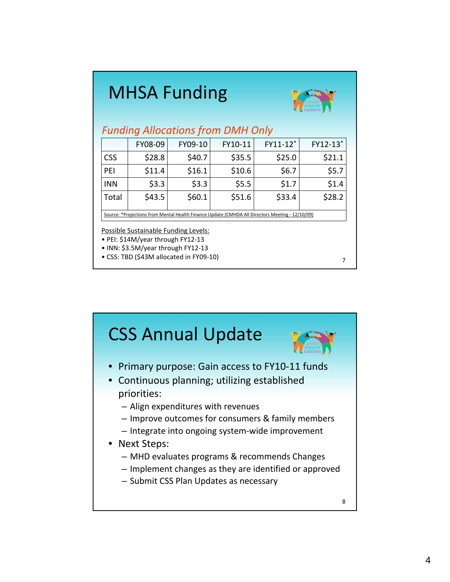## MHSA Funding



7

#### *Funding Allocations from DMH Only*

|                                                                                                 | FY08-09 | FY09-10 | FY10-11 | FY11-12* | FY12-13* |  |
|-------------------------------------------------------------------------------------------------|---------|---------|---------|----------|----------|--|
| <b>CSS</b>                                                                                      | \$28.8  | \$40.7  | \$35.5  | \$25.0   | \$21.1   |  |
| PEI                                                                                             | \$11.4  | \$16.1  | \$10.6  | \$6.7    | \$5.7    |  |
| <b>INN</b>                                                                                      | \$3.3   | \$3.3   | \$5.5   | \$1.7    | \$1.4    |  |
| Total                                                                                           | \$43.5  | \$60.1  | \$51.6  | \$33.4   | \$28.2   |  |
| Source: *Projections from Mental Health Finance Update (CMHDA All Directors Meeting - 12/10/09) |         |         |         |          |          |  |

Possible Sustainable Funding Levels:

• PEI: \$14M/year through FY12‐13

• INN: \$3.5M/year through FY12‐13

• CSS: TBD (\$43M allocated in FY09‐10)

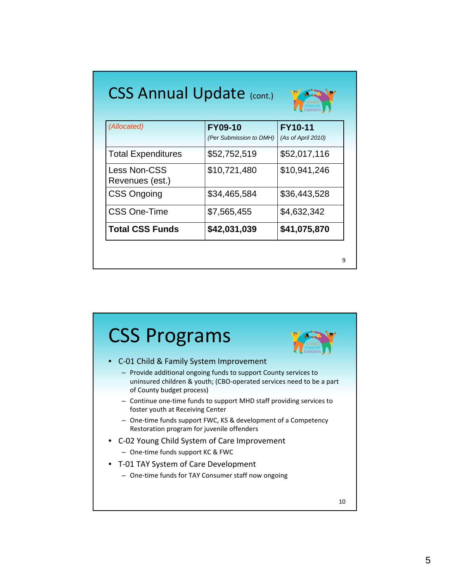| <b>CSS Annual Update (CONt.)</b><br>transform |                         |                    |  |
|-----------------------------------------------|-------------------------|--------------------|--|
| (Allocated)                                   | <b>FY09-10</b>          | <b>FY10-11</b>     |  |
|                                               | (Per Submission to DMH) | (As of April 2010) |  |
| <b>Total Expenditures</b>                     | \$52,752,519            | \$52,017,116       |  |
| <b>Less Non-CSS</b>                           | \$10,721,480            | \$10,941,246       |  |
| Revenues (est.)                               |                         |                    |  |
| <b>CSS Ongoing</b>                            | \$34,465,584            | \$36,443,528       |  |
| <b>CSS One-Time</b>                           | \$7,565,455             | \$4,632,342        |  |
| <b>Total CSS Funds</b>                        | \$42,031,039            | \$41,075,870       |  |

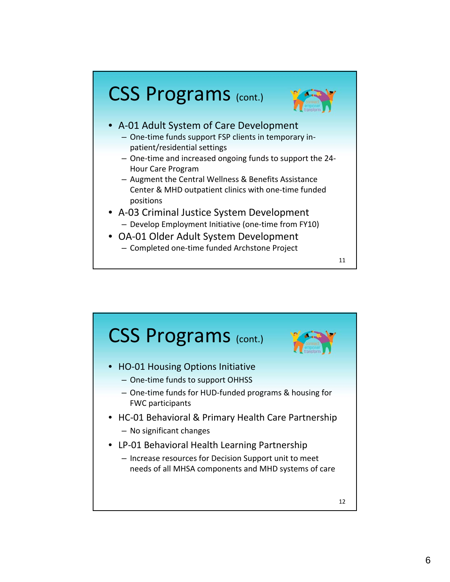



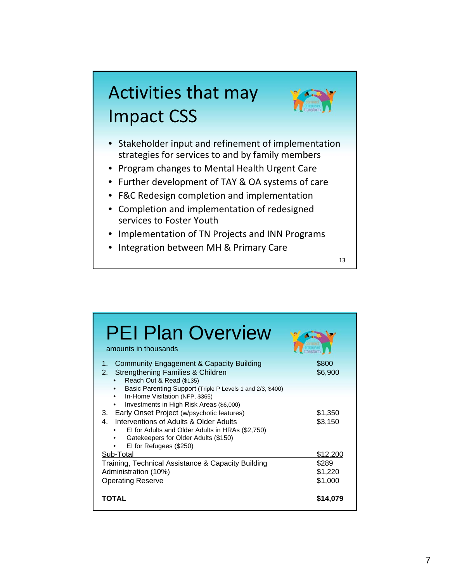## Activities that may Impact CSS



- Stakeholder input and refinement of implementation strategies for services to and by family members
- Program changes to Mental Health Urgent Care
- Further development of TAY & OA systems of care
- F&C Redesign completion and implementation
- Completion and implementation of redesigned services to Foster Youth
- Implementation of TN Projects and INN Programs
- Integration between MH & Primary Care

| <b>PEI Plan Overview</b><br>amounts in thousands                                                                                                                                                                                                                                                                                                                                              |                             |
|-----------------------------------------------------------------------------------------------------------------------------------------------------------------------------------------------------------------------------------------------------------------------------------------------------------------------------------------------------------------------------------------------|-----------------------------|
| <b>Community Engagement &amp; Capacity Building</b><br>1.<br>Strengthening Families & Children<br>2.<br>Reach Out & Read (\$135)                                                                                                                                                                                                                                                              | \$800<br>\$6,900            |
| Basic Parenting Support (Triple P Levels 1 and 2/3, \$400)<br>٠<br>In-Home Visitation (NFP, \$365)<br>$\bullet$<br>Investments in High Risk Areas (\$6,000)<br>٠<br>3. Early Onset Project (w/psychotic features)<br>Interventions of Adults & Older Adults<br>4.<br>El for Adults and Older Adults in HRAs (\$2,750)<br>٠<br>Gatekeepers for Older Adults (\$150)<br>El for Refugees (\$250) | \$1,350<br>\$3,150          |
| Sub-Total                                                                                                                                                                                                                                                                                                                                                                                     | \$12,200                    |
| Training, Technical Assistance & Capacity Building<br>Administration (10%)<br><b>Operating Reserve</b>                                                                                                                                                                                                                                                                                        | \$289<br>\$1,220<br>\$1,000 |
| TOTAL                                                                                                                                                                                                                                                                                                                                                                                         | \$14,079                    |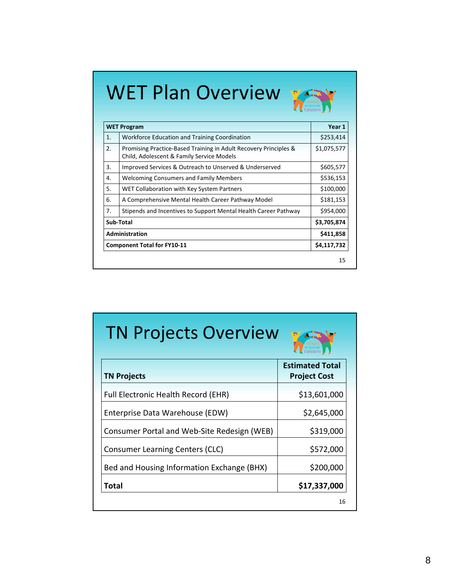# WET Plan Overview



|                | <b>WET Program</b>                                                                                            |             |
|----------------|---------------------------------------------------------------------------------------------------------------|-------------|
| $\mathbf{1}$ . | Workforce Education and Training Coordination                                                                 | \$253,414   |
| 2.             | Promising Practice-Based Training in Adult Recovery Principles &<br>Child, Adolescent & Family Service Models | \$1,075,577 |
| 3.             | Improved Services & Outreach to Unserved & Underserved                                                        | \$605,577   |
| 4.             | <b>Welcoming Consumers and Family Members</b>                                                                 | \$536,153   |
| 5.             | WET Collaboration with Key System Partners                                                                    | \$100,000   |
| 6.             | A Comprehensive Mental Health Career Pathway Model                                                            | \$181,153   |
| 7.             | Stipends and Incentives to Support Mental Health Career Pathway                                               | \$954,000   |
|                | Sub-Total                                                                                                     | \$3,705,874 |
|                | Administration                                                                                                | \$411,858   |
|                | <b>Component Total for FY10-11</b>                                                                            | \$4,117,732 |
|                |                                                                                                               | 15          |

| <b>TN Projects Overview</b>                 |                                               |  |  |  |
|---------------------------------------------|-----------------------------------------------|--|--|--|
| <b>TN Projects</b>                          | <b>Estimated Total</b><br><b>Project Cost</b> |  |  |  |
| <b>Full Electronic Health Record (EHR)</b>  | \$13,601,000                                  |  |  |  |
| Enterprise Data Warehouse (EDW)             | \$2,645,000                                   |  |  |  |
| Consumer Portal and Web-Site Redesign (WEB) | \$319,000                                     |  |  |  |
| <b>Consumer Learning Centers (CLC)</b>      | \$572,000                                     |  |  |  |
| Bed and Housing Information Exchange (BHX)  | \$200,000                                     |  |  |  |
| Total                                       | \$17,337,000                                  |  |  |  |
|                                             | 16                                            |  |  |  |